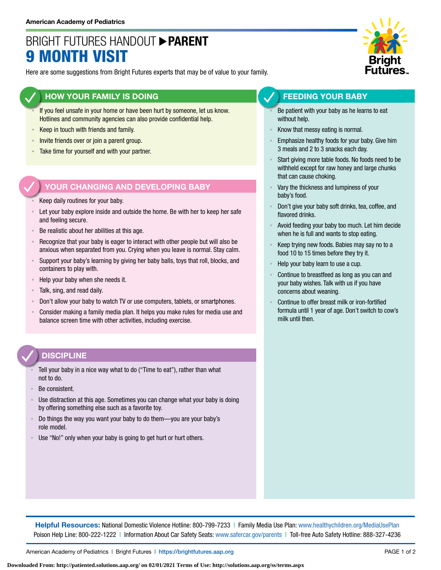## BRIGHT FUTURES HANDOUT **PARENT** 9 MONTH VISIT

Here are some suggestions from Bright Futures experts that may be of value to your family.

### **HOW YOUR FAMILY IS DOING**

- If you feel unsafe in your home or have been hurt by someone, let us know. Hotlines and community agencies can also provide confidential help.
- **EXECT** in touch with friends and family.
- **EXECT** Invite friends over or join a parent group.
- Take time for yourself and with your partner.

### **YOUR CHANGING AND DEVELOPING BABY**

- Keep daily routines for your baby.
- Let your baby explore inside and outside the home. Be with her to keep her safe and feeling secure.
- Be realistic about her abilities at this age.
- Recognize that your baby is eager to interact with other people but will also be anxious when separated from you. Crying when you leave is normal. Stay calm.
- Support your baby's learning by giving her baby balls, toys that roll, blocks, and containers to play with.
- Help your baby when she needs it.
- Talk, sing, and read daily.
- Don't allow your baby to watch TV or use computers, tablets, or smartphones.
- Consider making a family media plan. It helps you make rules for media use and balance screen time with other activities, including exercise.

### **DISCIPLINE**

- Tell your baby in a nice way what to do ("Time to eat"), rather than what not to do.
- Be consistent.
- Use distraction at this age. Sometimes you can change what your baby is doing by offering something else such as a favorite toy.
- Do things the way you want your baby to do them—you are your baby's role model.
- Use "No!" only when your baby is going to get hurt or hurt others.



### **FEEDING YOUR BABY**

- Be patient with your baby as he learns to eat without help.
- Know that messy eating is normal.
- Emphasize healthy foods for your baby. Give him 3 meals and 2 to 3 snacks each day.
- Start giving more table foods. No foods need to be withheld except for raw honey and large chunks that can cause choking.
- Vary the thickness and lumpiness of your baby's food.
- Don't give your baby soft drinks, tea, coffee, and flavored drinks.
- Avoid feeding your baby too much. Let him decide when he is full and wants to stop eating.
- Keep trying new foods. Babies may say no to a food 10 to 15 times before they try it.
- Help your baby learn to use a cup.
- Continue to breastfeed as long as you can and your baby wishes. Talk with us if you have concerns about weaning.
- Continue to offer breast milk or iron-fortified formula until 1 year of age. Don't switch to cow's milk until then.

**Helpful Resources:** National Domestic Violence Hotline: 800-799-7233 | Family Media Use Plan: [www.healthychildren.org/MediaUsePlan](https://www.healthychildren.org/English/media/Pages/default.aspx) Poison Help Line: 800-222-1222 | Information About Car Safety Seats: [www.safercar.gov/parents](https://www.nhtsa.gov/parents-and-caregivers) | Toll-free Auto Safety Hotline: 888-327-4236